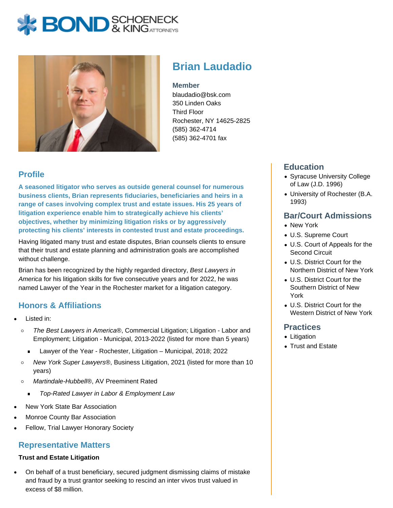# **BOND** & KING ATTORNECK



## **Brian Laudadio**

#### **Member**

blaudadio@bsk.com 350 Linden Oaks Third Floor Rochester, NY 14625-2825 (585) 362-4714 (585) 362-4701 fax

## **Profile**

**A seasoned litigator who serves as outside general counsel for numerous business clients, Brian represents fiduciaries, beneficiaries and heirs in a range of cases involving complex trust and estate issues. His 25 years of litigation experience enable him to strategically achieve his clients' objectives, whether by minimizing litigation risks or by aggressively protecting his clients' interests in contested trust and estate proceedings.**

Having litigated many trust and estate disputes, Brian counsels clients to ensure that their trust and estate planning and administration goals are accomplished without challenge.

Brian has been recognized by the highly regarded directory, Best Lawyers in America for his litigation skills for five consecutive years and for 2022, he was named Lawyer of the Year in the Rochester market for a litigation category.

## **Honors & Affiliations**

- Listed in:
	- The Best Lawyers in America®, Commercial Litigation; Litigation Labor and  $\circ$ Employment; Litigation - Municipal, 2013-2022 (listed for more than 5 years)
		- Lawyer of the Year Rochester, Litigation Municipal, 2018; 2022
	- $\circ$ New York Super Lawyers®, Business Litigation, 2021 (listed for more than 10 years)
	- Martindale-Hubbell®, AV Preeminent Rated  $\circ$ 
		- Top-Rated Lawyer in Labor & Employment Law
- New York State Bar Association
- Monroe County Bar Association
- Fellow, Trial Lawyer Honorary Society

#### **Representative Matters**

#### **Trust and Estate Litigation**

On behalf of a trust beneficiary, secured judgment dismissing claims of mistake and fraud by a trust grantor seeking to rescind an inter vivos trust valued in excess of \$8 million.

## **Education**

- Syracuse University College of Law (J.D. 1996)
- University of Rochester (B.A. 1993)

## **Bar/Court Admissions**

- New York
- U.S. Supreme Court
- U.S. Court of Appeals for the Second Circuit
- U.S. District Court for the Northern District of New York
- U.S. District Court for the Southern District of New York
- U.S. District Court for the Western District of New York

#### **Practices**

- Litigation
- Trust and Estate